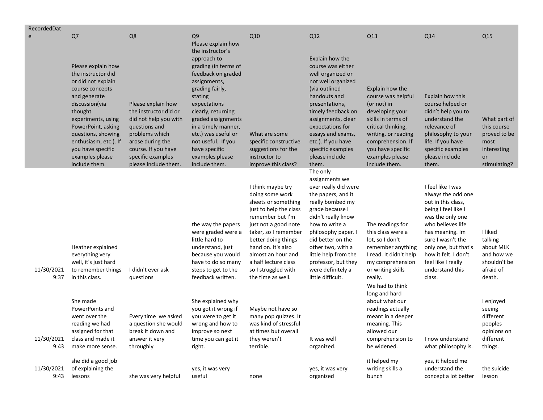| RecordedDat        |                                                                                                                                                                                                                                        |                                                                                                                                                                                                 |                                                                                                                                                                                                                                 |                                                                                                                                                                                                                                                                                                  |                                                                                                                                                                                                                                                                                                                   |                                                                                                                                                                                                                          |                                                                                                                                                                                                                                                                          |                                                                                          |
|--------------------|----------------------------------------------------------------------------------------------------------------------------------------------------------------------------------------------------------------------------------------|-------------------------------------------------------------------------------------------------------------------------------------------------------------------------------------------------|---------------------------------------------------------------------------------------------------------------------------------------------------------------------------------------------------------------------------------|--------------------------------------------------------------------------------------------------------------------------------------------------------------------------------------------------------------------------------------------------------------------------------------------------|-------------------------------------------------------------------------------------------------------------------------------------------------------------------------------------------------------------------------------------------------------------------------------------------------------------------|--------------------------------------------------------------------------------------------------------------------------------------------------------------------------------------------------------------------------|--------------------------------------------------------------------------------------------------------------------------------------------------------------------------------------------------------------------------------------------------------------------------|------------------------------------------------------------------------------------------|
| e                  | Q <sub>7</sub><br>Please explain how<br>the instructor did                                                                                                                                                                             | Q8                                                                                                                                                                                              | Q9<br>Please explain how<br>the instructor's<br>approach to<br>grading (in terms of<br>feedback on graded                                                                                                                       | Q10                                                                                                                                                                                                                                                                                              | Q12<br>Explain how the<br>course was either<br>well organized or                                                                                                                                                                                                                                                  | Q13                                                                                                                                                                                                                      | Q14                                                                                                                                                                                                                                                                      | Q15                                                                                      |
|                    | or did not explain<br>course concepts<br>and generate<br>discussion(via<br>thought<br>experiments, using<br>PowerPoint, asking<br>questions, showing<br>enthusiasm, etc.). If<br>you have specific<br>examples please<br>include them. | Please explain how<br>the instructor did or<br>did not help you with<br>questions and<br>problems which<br>arose during the<br>course. If you have<br>specific examples<br>please include them. | assignments,<br>grading fairly,<br>stating<br>expectations<br>clearly, returning<br>graded assignments<br>in a timely manner,<br>etc.) was useful or<br>not useful. If you<br>have specific<br>examples please<br>include them. | What are some<br>specific constructive<br>suggestions for the<br>instructor to<br>improve this class?                                                                                                                                                                                            | not well organized<br>(via outlined<br>handouts and<br>presentations,<br>timely feedback on<br>assignments, clear<br>expectations for<br>essays and exams,<br>etc.). If you have<br>specific examples<br>please include<br>them.                                                                                  | Explain how the<br>course was helpful<br>(or not) in<br>developing your<br>skills in terms of<br>critical thinking,<br>writing, or reading<br>comprehension. If<br>you have specific<br>examples please<br>include them. | Explain how this<br>course helped or<br>didn't help you to<br>understand the<br>relevance of<br>philosophy to your<br>life. If you have<br>specific examples<br>please include<br>them.                                                                                  | What part of<br>this course<br>proved to be<br>most<br>interesting<br>or<br>stimulating? |
| 11/30/2021<br>9:37 | Heather explained<br>everything very<br>well, it's just hard<br>to remember things<br>in this class.                                                                                                                                   | I didn't ever ask<br>questions                                                                                                                                                                  | the way the papers<br>were graded were a<br>little hard to<br>understand, just<br>because you would<br>have to do so many<br>steps to get to the<br>feedback written.                                                           | I think maybe try<br>doing some work<br>sheets or something<br>just to help the class<br>remember but I'm<br>just not a good note<br>taker, so I remember<br>better doing things<br>hand on. It's also<br>almost an hour and<br>a half lecture class<br>so I struggled with<br>the time as well. | The only<br>assignments we<br>ever really did were<br>the papers, and it<br>really bombed my<br>grade because I<br>didn't really know<br>how to write a<br>philosophy paper. I<br>did better on the<br>other two, with a<br>little help from the<br>professor, but they<br>were definitely a<br>little difficult. | The readings for<br>this class were a<br>lot, so I don't<br>remember anything<br>I read. It didn't help<br>my comprehension<br>or writing skills<br>really.<br>We had to think                                           | I feel like I was<br>always the odd one<br>out in this class,<br>being I feel like I<br>was the only one<br>who believes life<br>has meaning. Im<br>sure I wasn't the<br>only one, but that's<br>how it felt. I don't<br>feel like I really<br>understand this<br>class. | I liked<br>talking<br>about MLK<br>and how we<br>shouldn't be<br>afraid of<br>death.     |
| 11/30/2021<br>9:43 | She made<br>PowerPoints and<br>went over the<br>reading we had<br>assigned for that<br>class and made it<br>make more sense.                                                                                                           | Every time we asked<br>a question she would<br>break it down and<br>answer it very<br>throughly                                                                                                 | She explained why<br>you got it wrong if<br>you were to get it<br>wrong and how to<br>improve so next<br>time you can get it<br>right.                                                                                          | Maybe not have so<br>many pop quizzes. It<br>was kind of stressful<br>at times but overall<br>they weren't<br>terrible.                                                                                                                                                                          | It was well<br>organized.                                                                                                                                                                                                                                                                                         | long and hard<br>about what our<br>readings actually<br>meant in a deeper<br>meaning. This<br>allowed our<br>comprehension to<br>be widened.                                                                             | I now understand<br>what philosophy is.                                                                                                                                                                                                                                  | I enjoyed<br>seeing<br>different<br>peoples<br>opinions on<br>different<br>things.       |
| 11/30/2021<br>9:43 | she did a good job<br>of explaining the<br>lessons                                                                                                                                                                                     | she was very helpful                                                                                                                                                                            | yes, it was very<br>useful                                                                                                                                                                                                      | none                                                                                                                                                                                                                                                                                             | yes, it was very<br>organized                                                                                                                                                                                                                                                                                     | it helped my<br>writing skills a<br>bunch                                                                                                                                                                                | yes, it helped me<br>understand the<br>concept a lot better                                                                                                                                                                                                              | the suicide<br>lesson                                                                    |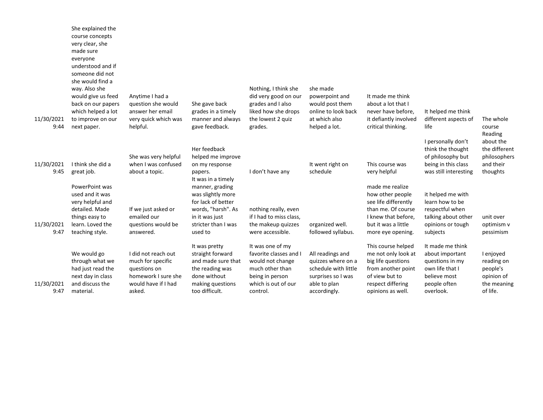| 11/30/2021<br>9:44 | She explained the<br>course concepts<br>very clear, she<br>made sure<br>everyone<br>understood and if<br>someone did not<br>she would find a<br>way. Also she<br>would give us feed<br>back on our papers<br>which helped a lot<br>to improve on our<br>next paper. | Anytime I had a<br>question she would<br>answer her email<br>very quick which was<br>helpful.                    | She gave back<br>grades in a timely<br>manner and always<br>gave feedback.                                                                                 | Nothing, I think she<br>did very good on our<br>grades and I also<br>liked how she drops<br>the lowest 2 quiz<br>grades.                | she made<br>powerpoint and<br>would post them<br>online to look back<br>at which also<br>helped a lot.               | It made me think<br>about a lot that I<br>never have before,<br>it defiantly involved<br>critical thinking.                                          | It helped me think<br>different aspects of<br>life                                                                     | The whole<br>course<br>Reading                                               |
|--------------------|---------------------------------------------------------------------------------------------------------------------------------------------------------------------------------------------------------------------------------------------------------------------|------------------------------------------------------------------------------------------------------------------|------------------------------------------------------------------------------------------------------------------------------------------------------------|-----------------------------------------------------------------------------------------------------------------------------------------|----------------------------------------------------------------------------------------------------------------------|------------------------------------------------------------------------------------------------------------------------------------------------------|------------------------------------------------------------------------------------------------------------------------|------------------------------------------------------------------------------|
| 11/30/2021<br>9:45 | I think she did a<br>great job.                                                                                                                                                                                                                                     | She was very helpful<br>when I was confused<br>about a topic.                                                    | Her feedback<br>helped me improve<br>on my response<br>papers.                                                                                             | I don't have any                                                                                                                        | It went right on<br>schedule                                                                                         | This course was<br>very helpful                                                                                                                      | I personally don't<br>think the thought<br>of philosophy but<br>being in this class<br>was still interesting           | about the<br>the different<br>philosophers<br>and their<br>thoughts          |
| 11/30/2021<br>9:47 | PowerPoint was<br>used and it was<br>very helpful and<br>detailed. Made<br>things easy to<br>learn. Loved the<br>teaching style.                                                                                                                                    | If we just asked or<br>emailed our<br>questions would be<br>answered.                                            | It was in a timely<br>manner, grading<br>was slightly more<br>for lack of better<br>words, "harsh". As<br>in it was just<br>stricter than I was<br>used to | nothing really, even<br>if I had to miss class,<br>the makeup quizzes<br>were accessible.                                               | organized well.<br>followed syllabus.                                                                                | made me realize<br>how other people<br>see life differently<br>than me. Of course<br>I knew that before,<br>but it was a little<br>more eye opening. | it helped me with<br>learn how to be<br>respectful when<br>talking about other<br>opinions or tough<br>subjects        | unit over<br>optimism v<br>pessimism                                         |
| 11/30/2021<br>9:47 | We would go<br>through what we<br>had just read the<br>next day in class<br>and discuss the<br>material.                                                                                                                                                            | I did not reach out<br>much for specific<br>questions on<br>homework I sure she<br>would have if I had<br>asked. | It was pretty<br>straight forward<br>and made sure that<br>the reading was<br>done without<br>making questions<br>too difficult.                           | It was one of my<br>favorite classes and I<br>would not change<br>much other than<br>being in person<br>which is out of our<br>control. | All readings and<br>quizzes where on a<br>schedule with little<br>surprises so I was<br>able to plan<br>accordingly. | This course helped<br>me not only look at<br>big life questions<br>from another point<br>of view but to<br>respect differing<br>opinions as well.    | It made me think<br>about important<br>questions in my<br>own life that I<br>believe most<br>people often<br>overlook. | I enjoyed<br>reading on<br>people's<br>opinion of<br>the meaning<br>of life. |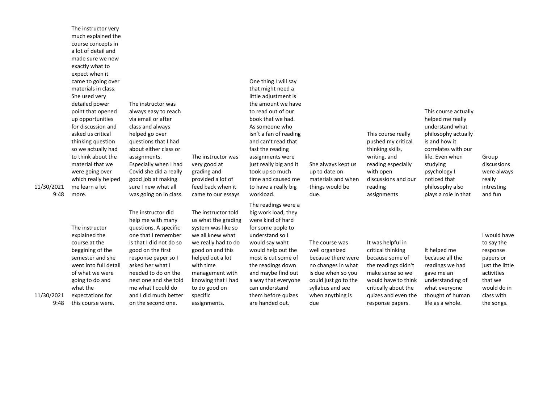The instructor very much explained the course concepts in a lot of detail and made sure we new exactly what to expect when it came to going over materials in class. She used very detailed power point that opened up opportunities for discussion and asked us critical thinking question so we actually had to think about the material that we were going over which really helped me learn a lot more. The instructor

explained the course at the beggining of the semester and she went into full detail of what we were going to do and what the expectations for this course were.

The instructor was always easy to reach via email or after class and always helped go over questions that I had about either class or assignments. Especially when I had Covid she did a really good job at making sure I new what all was going on in class.

The instructor did help me with many questions. A specific one that I remember is that I did not do so good on the first response paper so I asked her what I needed to do on the next one and she told me what I could do and I did much better on the second one.

very good at grading and provided a lot of feed back when it came to our essays The instructor told us what the grading system was like so we all knew what we really had to do good on and this helped out a lot

assignments.

The instructor was

with time management with knowing that I had to do good on specific

that might need a little adjustment is the amount we have to read out of our book that we had. As someone who isn't a fan of reading and can't read that fast the reading assignments were just really big and it took up so much time and caused me to have a really big workload.

One thing I will say

The readings were a big work load, they were kind of hard for some pople to understand so I would say waht would help out the most is cut some of the readings down and maybe find out a way that everyone can understand them before quizes are handed out.

She always kept us up to date on materials and when things would be due.

The course was well organized because there were no changes in what is due when so you could just go to the syllabus and see when anything is

due

writing, and reading especially with open discussions and our reading assignments

It was helpful in critical thinking because some of the readings didn't make sense so we would have to think critically about the quizes and even the response papers.

It helped me because all the readings we had gave me an understanding of what everyone thought of human life as a whole.

This course actually helped me really understand what

> I would have to say the response papers or just the little activities that we would do in class with the songs.

This course really pushed my critical thinking skills, philosophy actually is and how it correlates with our life. Even when studying psychology I noticed that philosophy also plays a role in that

# Group discussions were always really intresting and fun

9:48

11/30/2021

11/30/2021

9:48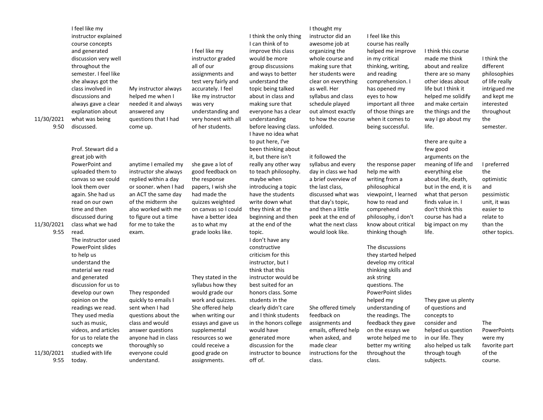| 11/30/2021<br>9:50 | I feel like my<br>instructor explained<br>course concepts<br>and generated<br>discussion very well<br>throughout the<br>semester. I feel like<br>she always got the<br>class involved in<br>discussions and<br>always gave a clear<br>explanation about<br>what was being<br>discussed.                                                   | My instructor always<br>helped me when I<br>needed it and always<br>answered any<br>questions that I had<br>come up.                                                                                                      | I feel like my<br>instructor graded<br>all of our<br>assignments and<br>test very fairly and<br>accurately. I feel<br>like my instructor<br>was very<br>understanding and<br>very honest with all<br>of her students.                | I think the only thing<br>I can think of to<br>improve this class<br>would be more<br>group discussions<br>and ways to better<br>understand the<br>topic being talked<br>about in class and<br>making sure that<br>everyone has a clear<br>understanding<br>before leaving class.<br>I have no idea what                                              | I thought my<br>instructor did an<br>awesome job at<br>organizing the<br>whole course and<br>making sure that<br>her students were<br>clear on everything<br>as well. Her<br>syllabus and class<br>schedule played<br>out almost exactly<br>to how the course<br>unfolded. | I feel like this<br>course has really<br>helped me improve<br>in my critical<br>thinking, writing,<br>and reading<br>comprehension. I<br>has opened my<br>eyes to how<br>important all three<br>of those things are<br>when it comes to<br>being successful.                                                     | I think this course<br>made me think<br>about and realize<br>there are so many<br>other ideas about<br>life but I think it<br>helped me solidify<br>and make certain<br>the things and the<br>way I go about my<br>life.                                 | I think the<br>different<br>philosophies<br>of life really<br>intrigued me<br>and kept me<br>interested<br>throughout<br>the<br>semester. |
|--------------------|-------------------------------------------------------------------------------------------------------------------------------------------------------------------------------------------------------------------------------------------------------------------------------------------------------------------------------------------|---------------------------------------------------------------------------------------------------------------------------------------------------------------------------------------------------------------------------|--------------------------------------------------------------------------------------------------------------------------------------------------------------------------------------------------------------------------------------|-------------------------------------------------------------------------------------------------------------------------------------------------------------------------------------------------------------------------------------------------------------------------------------------------------------------------------------------------------|----------------------------------------------------------------------------------------------------------------------------------------------------------------------------------------------------------------------------------------------------------------------------|------------------------------------------------------------------------------------------------------------------------------------------------------------------------------------------------------------------------------------------------------------------------------------------------------------------|----------------------------------------------------------------------------------------------------------------------------------------------------------------------------------------------------------------------------------------------------------|-------------------------------------------------------------------------------------------------------------------------------------------|
| 11/30/2021<br>9:55 | Prof. Stewart did a<br>great job with<br>PowerPoint and<br>uploaded them to<br>canvas so we could<br>look them over<br>again. She had us<br>read on our own<br>time and then<br>discussed during<br>class what we had<br>read.                                                                                                            | anytime I emailed my<br>instructor she always<br>replied within a day<br>or sooner. when I had<br>an ACT the same day<br>of the midterm she<br>also worked with me<br>to figure out a time<br>for me to take the<br>exam. | she gave a lot of<br>good feedback on<br>the response<br>papers, I wish she<br>had made the<br>quizzes weighted<br>on canvas so I could<br>have a better idea<br>as to what my<br>grade looks like.                                  | to put here, I've<br>been thinking about<br>it, but there isn't<br>really any other way<br>to teach philosophy.<br>maybe when<br>introducing a topic<br>have the students<br>write down what<br>they think at the<br>beginning and then<br>at the end of the<br>topic.                                                                                | it followed the<br>syllabus and every<br>day in class we had<br>a brief overview of<br>the last class,<br>discussed what was<br>that day's topic,<br>and then a little<br>peek at the end of<br>what the next class<br>would look like.                                    | the response paper<br>help me with<br>writing from a<br>philosophical<br>viewpoint, I learned<br>how to read and<br>comprehend<br>philosophy, i don't<br>know about critical<br>thinking though                                                                                                                  | there are quite a<br>few good<br>arguments on the<br>meaning of life and<br>everything else<br>about life, death,<br>but in the end, it is<br>what that person<br>finds value in. I<br>don't think this<br>course has had a<br>big impact on my<br>life. | I preferred<br>the<br>optimistic<br>and<br>pessimistic<br>unit, it was<br>easier to<br>relate to<br>than the<br>other topics.             |
| 11/30/2021<br>9:55 | The instructor used<br><b>PowerPoint slides</b><br>to help us<br>understand the<br>material we read<br>and generated<br>discussion for us to<br>develop our own<br>opinion on the<br>readings we read.<br>They used media<br>such as music,<br>videos, and articles<br>for us to relate the<br>concepts we<br>studied with life<br>today. | They responded<br>quickly to emails I<br>sent when I had<br>questions about the<br>class and would<br>answer questions<br>anyone had in class<br>thoroughly so<br>everyone could<br>understand.                           | They stated in the<br>syllabus how they<br>would grade our<br>work and quizzes.<br>She offered help<br>when writing our<br>essays and gave us<br>supplemental<br>resources so we<br>could receive a<br>good grade on<br>assignments. | I don't have any<br>constructive<br>criticism for this<br>instructor, but I<br>think that this<br>instructor would be<br>best suited for an<br>honors class. Some<br>students in the<br>clearly didn't care<br>and I think students<br>in the honors college<br>would have<br>generated more<br>discussion for the<br>instructor to bounce<br>off of. | She offered timely<br>feedback on<br>assignments and<br>emails, offered help<br>when asked, and<br>made clear<br>instructions for the<br>class.                                                                                                                            | The discussions<br>they started helped<br>develop my critical<br>thinking skills and<br>ask string<br>questions. The<br>PowerPoint slides<br>helped my<br>understanding of<br>the readings. The<br>feedback they gave<br>on the essays we<br>wrote helped me to<br>better my writing<br>throughout the<br>class. | They gave us plenty<br>of questions and<br>concepts to<br>consider and<br>helped us question<br>in our life. They<br>also helped us talk<br>through tough<br>subjects.                                                                                   | <b>The</b><br>PowerPoints<br>were my<br>favorite part<br>of the<br>course.                                                                |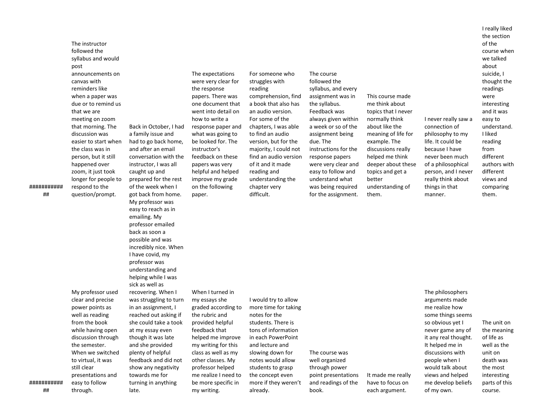###########

##

My professor used clear and precise power points as well as reading from the book while having open discussion through the semester. When we switched to virtual, it was still clear presentations and easy to follow through.

The instructor followed the syllabus and would

announcements on canvas with reminders like when a paper was due or to remind us that we are meeting on zoom that morning. The discussion was

the class was in person, but it still happened over zoom, it just took

respond to the question/prompt.

post

easier to start when longer for people to Back in October, I had a family issue and had to go back home, and after an email conversation with the instructor, I was all caught up and prepared for the rest of the week when I got back from home. My professor was easy to reach as in emailing. My professor emailed back as soon a possible and was incredibly nice. When I have covid, my professor was understanding and helping while I was sick as well as recovering. When I was struggling to turn in an assignment, I reached out asking if she could take a took at my essay even though it was late and she provided plenty of helpful feedback and did not show any negativity towards me for turning in anything late.

### The expectations were very clear for the response papers. There was one document that went into detail on how to write a response paper and what was going to be looked for. The instructor's feedback on these papers was very helpful and helped improve my grade on the following

paper.

When I turned in my essays she

graded according to the rubric and provided helpful feedback that helped me improve my writing for this class as well as my other classes. My professor helped me realize I need to be more specific in my writing.

I would try to allow more time for taking notes for the students. There is tons of information in each PowerPoint and lecture and slowing down for notes would allow students to grasp the concept even more if they weren't already.

For someone who struggles with reading

comprehension, find a book that also has an audio version. For some of the chapters, I was able to find an audio version, but for the majority, I could not find an audio version of it and it made reading and understanding the chapter very difficult.

syllabus, and every assignment was in the syllabus. Feedback was always given within a week or so of the assignment being due. The instructions for the response papers were very clear and easy to follow and understand what was being required

for the assignment.

The course was well organized through power point presentations and readings of the

book.

The course followed the

> This course made me think about topics that I never normally think about like the meaning of life for example. The discussions really helped me think deeper about these topics and get a better understanding of them.

It made me really have to focus on each argument.

I never really saw a connection of philosophy to my life. It could be because I have never been much of a philosophical person, and I never really think about things in that manner. readings were interesting and it was easy to understand. I liked reading from different authors with different views and comparing them.

I really liked the section of the course when we talked about suicide, I thought the

me realize how some things seems so obvious yet I never game any of it any real thought. It helped me in discussions with people when I would talk about views and helped me develop beliefs of my own.

The philosophers arguments made

> The unit on the meaning of life as well as the unit on death was the most interesting parts of this course.

###########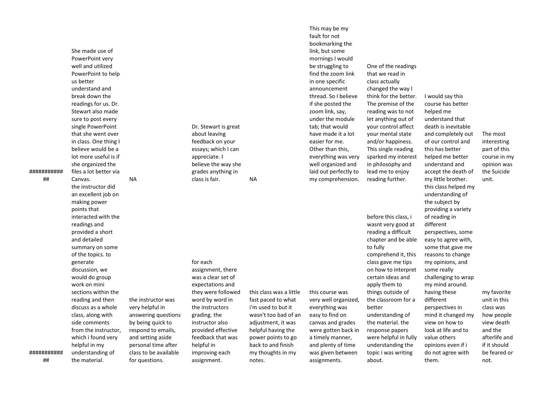###########

##

believe would be a lot more useful is if she organized the files a lot better via Canvas. NA the instructor did an excellent job on making power points that interacted with the readings and provided a short and detailed summary on some of the topics. to generate discussion, we would do group work on mini sections within the reading and then discuss as a whole class, along with side comments from the instructor, which i found very helpful in my understanding of the material.

She made use of PowerPoint very well and utilized PowerPoint to help

us better understand and break down the readings for us. Dr. Stewart also made sure to post every single PowerPoint that she went over in class. One thing I

> essays; which I can appreciate. I believe the way she grades anything in class is fair. NA for each

Dr. Stewart is great about leaving feedback on your

the instructor was very helpful in answering questions by being quick to respond to emails, and setting aside personal time after class to be available for questions. expectations and they were followed word by word in the instructors grading. the instructor also provided effective feedback that was helpful in improving each assignment.

# assignment, there was a clear set of

this class was a little fast paced to what wasn't too bad of an adjustment, it was helpful having the power points to go my thoughts in my notes.

this course was very well organized, everything was easy to find on canvas and grades were gotten back in a timely manner, and plenty of time was given between assignments.

that we read in I would say this course has better helped me understand that this has better helped me better understand and

before this class, i wasnt very good at reading a difficult chapter and be able to fully comprehend it, this class gave me tips on how to interpret certain ideas and apply them to things outside of the classroom for a better understanding of the material. the response papers were helpful in fully understanding the topic i was writing

# death is inevitable and completely out of our control and accept the death of my little brother. The most interesting part of this course in my opinion was the Suicide unit. this class helped my understanding of providing a variety

the subject by

of reading in different

them.

perspectives, some easy to agree with, some that gave me reasons to change my opinions, and some really challenging to wrap my mind around. having these different perspectives in mind it changed my view on how to look at life and to value others opinions even if i do not agree with

my favorite unit in this class was how people view death and the afterlife and if it should be feared or not.

i'm used to but it back to and finish

bookmarking the link, but some mornings I would be struggling to find the zoom link in one specific announcement thread. So I believe if she posted the zoom link, say, under the module tab; that would have made it a lot easier for me. Other than this, everything was very One of the readings

This may be my fault for not

well organized and laid out perfectly to my comprehension. class actually changed the way I think for the better. The premise of the reading was to not let anything out of your control affect your mental state and/or happiness. This single reading sparked my interest in philosophy and lead me to enjoy reading further.

about.

###########

##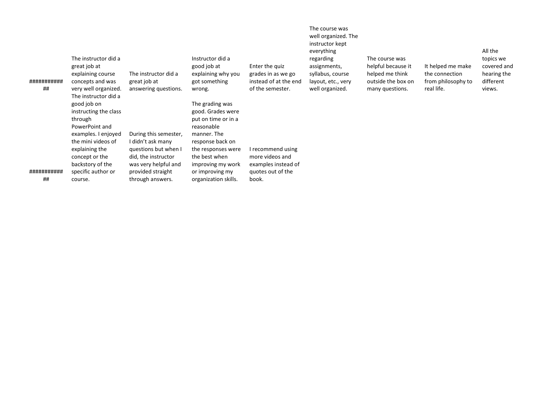| ###########<br>## | The instructor did a<br>great job at<br>explaining course<br>concepts and was<br>very well organized.<br>The instructor did a | The instructor did a<br>great job at<br>answering questions. | Instructor did a<br>good job at<br>explaining why you<br>got something<br>wrong. | Enter the quiz<br>grades in as we go<br>instead of at the end<br>of the semester. | The course was<br>well organized. The<br>instructor kept<br>everything<br>regarding<br>assignments,<br>syllabus, course<br>layout, etc., very<br>well organized. | The course was<br>helpful because it<br>helped me think<br>outside the box on<br>many questions. | It helped me make<br>the connection<br>from philosophy to<br>real life. | All the<br>topics we<br>covered and<br>hearing the<br>different<br>views. |
|-------------------|-------------------------------------------------------------------------------------------------------------------------------|--------------------------------------------------------------|----------------------------------------------------------------------------------|-----------------------------------------------------------------------------------|------------------------------------------------------------------------------------------------------------------------------------------------------------------|--------------------------------------------------------------------------------------------------|-------------------------------------------------------------------------|---------------------------------------------------------------------------|
|                   | good job on                                                                                                                   |                                                              | The grading was                                                                  |                                                                                   |                                                                                                                                                                  |                                                                                                  |                                                                         |                                                                           |
|                   | instructing the class<br>through                                                                                              |                                                              | good. Grades were<br>put on time or in a                                         |                                                                                   |                                                                                                                                                                  |                                                                                                  |                                                                         |                                                                           |
|                   | PowerPoint and                                                                                                                |                                                              | reasonable<br>manner. The                                                        |                                                                                   |                                                                                                                                                                  |                                                                                                  |                                                                         |                                                                           |
|                   | examples. I enjoyed<br>the mini videos of                                                                                     | During this semester,<br>I didn't ask many                   | response back on                                                                 |                                                                                   |                                                                                                                                                                  |                                                                                                  |                                                                         |                                                                           |
|                   | explaining the                                                                                                                | questions but when I                                         | the responses were                                                               | I recommend using<br>more videos and                                              |                                                                                                                                                                  |                                                                                                  |                                                                         |                                                                           |
|                   | concept or the<br>backstory of the                                                                                            | did, the instructor<br>was very helpful and                  | the best when<br>improving my work                                               | examples instead of                                                               |                                                                                                                                                                  |                                                                                                  |                                                                         |                                                                           |
| ###########<br>## | specific author or<br>course.                                                                                                 | provided straight<br>through answers.                        | or improving my<br>organization skills.                                          | quotes out of the<br>book.                                                        |                                                                                                                                                                  |                                                                                                  |                                                                         |                                                                           |
|                   |                                                                                                                               |                                                              |                                                                                  |                                                                                   |                                                                                                                                                                  |                                                                                                  |                                                                         |                                                                           |